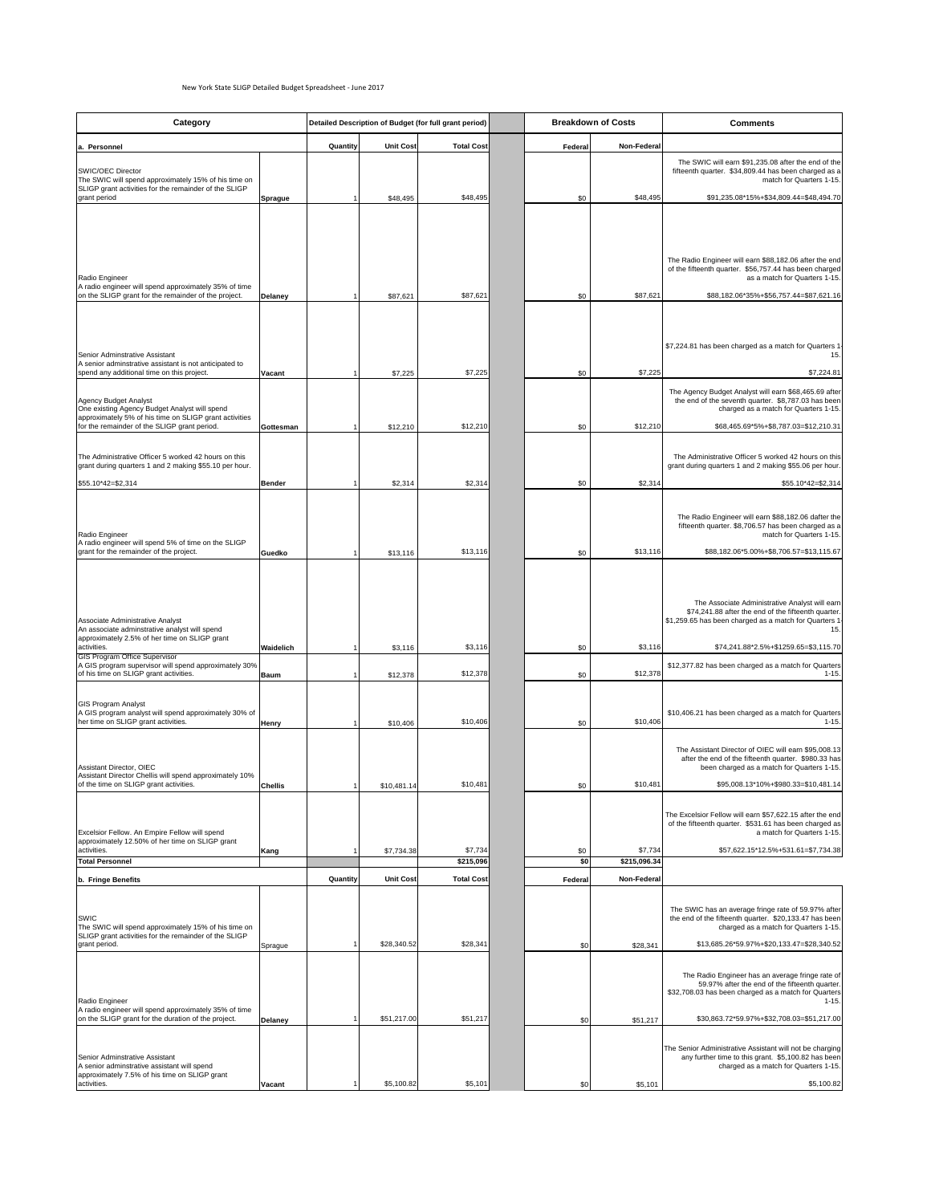| Category                                                                                                                                          |                  | Detailed Description of Budget (for full grant period) |                  |                      | <b>Breakdown of Costs</b> | <b>Comments</b>                       |                                                                                                                                                                                                                |
|---------------------------------------------------------------------------------------------------------------------------------------------------|------------------|--------------------------------------------------------|------------------|----------------------|---------------------------|---------------------------------------|----------------------------------------------------------------------------------------------------------------------------------------------------------------------------------------------------------------|
| a. Personnel                                                                                                                                      |                  | Quantity                                               | <b>Unit Cost</b> | <b>Total Cost</b>    | Federal                   | <b>Non-Federal</b>                    |                                                                                                                                                                                                                |
| <b>SWIC/OEC Director</b><br>The SWIC will spend approximately 15% of his time on<br>SLIGP grant activities for the remainder of the SLIGP         |                  |                                                        |                  |                      |                           |                                       | The SWIC will earn \$91,235.08 after the end of the<br>fifteenth quarter. \$34,809.44 has been charged as a<br>match for Quarters 1-15.                                                                        |
| grant period                                                                                                                                      | Sprague          |                                                        | \$48,495         | \$48,495             |                           | \$48,495<br>\$0                       | \$91,235.08*15%+\$34,809.44=\$48,494.70                                                                                                                                                                        |
|                                                                                                                                                   |                  |                                                        |                  |                      |                           |                                       |                                                                                                                                                                                                                |
| Radio Engineer<br>A radio engineer will spend approximately 35% of time                                                                           |                  |                                                        |                  |                      |                           |                                       | The Radio Engineer will earn \$88,182.06 after the end<br>of the fifteenth quarter. \$56,757.44 has been charged<br>as a match for Quarters 1-15.                                                              |
| on the SLIGP grant for the remainder of the project.                                                                                              | Delaney          |                                                        | \$87,621         | \$87,621             |                           | \$87,621<br>\$0                       | \$88,182.06*35%+\$56,757.44=\$87,621.16                                                                                                                                                                        |
| Senior Adminstrative Assistant<br>A senior adminstrative assistant is not anticipated to                                                          |                  |                                                        |                  |                      |                           |                                       | \$7,224.81 has been charged as a match for Quarters 1<br>15.I                                                                                                                                                  |
| spend any additional time on this project.                                                                                                        | <b>Vacant</b>    |                                                        | \$7,225          | \$7,225              |                           | \$7,225<br>\$0                        | \$7,224.81                                                                                                                                                                                                     |
| Agency Budget Analyst<br>One existing Agency Budget Analyst will spend<br>approximately 5% of his time on SLIGP grant activities                  |                  |                                                        |                  |                      |                           |                                       | The Agency Budget Analyst will earn \$68,465.69 after<br>the end of the seventh quarter. \$8,787.03 has been<br>charged as a match for Quarters 1-15.                                                          |
| for the remainder of the SLIGP grant period.                                                                                                      | Gottesman        |                                                        | \$12,210         | \$12,210             |                           | \$12,210<br>\$0                       | \$68,465.69*5%+\$8,787.03=\$12,210.31                                                                                                                                                                          |
| The Administrative Officer 5 worked 42 hours on this<br>grant during quarters 1 and 2 making \$55.10 per hour.                                    |                  |                                                        |                  |                      |                           |                                       | The Administrative Officer 5 worked 42 hours on this<br>grant during quarters 1 and 2 making \$55.06 per hour.                                                                                                 |
| $$55.10*42 = $2,314$                                                                                                                              | <b>Bender</b>    |                                                        | \$2,314          | \$2,314              |                           | \$2,314<br>\$0                        | $$55.10*42 = $2,314$                                                                                                                                                                                           |
| Radio Engineer                                                                                                                                    |                  |                                                        |                  |                      |                           |                                       | The Radio Engineer will earn \$88,182.06 dafter the<br>fifteenth quarter. \$8,706.57 has been charged as a<br>match for Quarters 1-15.                                                                         |
| A radio engineer will spend 5% of time on the SLIGP<br>grant for the remainder of the project.                                                    | Guedko           |                                                        | \$13,116         | \$13,116             |                           | \$13,116<br>\$0                       | \$88,182.06*5.00%+\$8,706.57=\$13,115.67                                                                                                                                                                       |
| Associate Administrative Analyst<br>An associate adminstrative analyst will spend<br>approximately 2.5% of her time on SLIGP grant<br>activities. | <b>Waidelich</b> |                                                        | \$3,116          | \$3,116              |                           | \$3,116<br>\$0                        | The Associate Administrative Analyst will earn<br>\$74,241.88 after the end of the fifteenth quarter.<br>\$1,259.65 has been charged as a match for Quarters 1<br>15.<br>\$74,241.88*2.5%+\$1259.65=\$3,115.70 |
| <b>GIS Program Office Supervisor</b><br>A GIS program supervisor will spend approximately 30%<br>of his time on SLIGP grant activities.           | Baum             |                                                        | \$12,378         | \$12,378             |                           | \$12,378<br>\$0                       | \$12,377.82 has been charged as a match for Quarters<br>$1 - 15.$                                                                                                                                              |
| <b>GIS Program Analyst</b><br>A GIS program analyst will spend approximately 30% of<br>her time on SLIGP grant activities.                        | <b>Henry</b>     |                                                        | \$10,406         | \$10,406             |                           | \$10,406<br>\$0                       | \$10,406.21 has been charged as a match for Quarters<br>$1 - 15.$                                                                                                                                              |
| Assistant Director, OIEC<br>Assistant Director Chellis will spend approximately 10%                                                               |                  |                                                        |                  |                      |                           |                                       | The Assistant Director of OIEC will earn \$95,008.13<br>after the end of the fifteenth quarter. \$980.33 has<br>been charged as a match for Quarters 1-15.                                                     |
| of the time on SLIGP grant activities.                                                                                                            | <b>Chellis</b>   |                                                        | \$10,481.14      | \$10,481             |                           | \$10,481<br>\$0                       | \$95,008.13*10%+\$980.33=\$10,481.14                                                                                                                                                                           |
| Excelsior Fellow. An Empire Fellow will spend<br>approximately 12.50% of her time on SLIGP grant                                                  |                  |                                                        |                  |                      |                           |                                       | The Excelsior Fellow will earn \$57,622.15 after the end<br>of the fifteenth quarter. \$531.61 has been charged as<br>a match for Quarters 1-15.                                                               |
| activities.<br><b>Total Personnel</b>                                                                                                             | Kang             |                                                        | \$7,734.38       | \$7,734<br>\$215,096 |                           | \$7,734<br>\$0<br>\$215,096.34<br>\$0 | \$57,622.15*12.5%+531.61=\$7,734.38                                                                                                                                                                            |
| b. Fringe Benefits                                                                                                                                |                  | Quantity                                               | <b>Unit Cost</b> | <b>Total Cost</b>    | Federal                   | <b>Non-Federal</b>                    |                                                                                                                                                                                                                |
|                                                                                                                                                   |                  |                                                        |                  |                      |                           |                                       |                                                                                                                                                                                                                |
| <b>SWIC</b><br>The SWIC will spend approximately 15% of his time on<br>SLIGP grant activities for the remainder of the SLIGP                      |                  |                                                        |                  |                      |                           |                                       | The SWIC has an average fringe rate of 59.97% after<br>the end of the fifteenth quarter. \$20,133.47 has been<br>charged as a match for Quarters 1-15.                                                         |
| grant period.                                                                                                                                     | Sprague          |                                                        | \$28,340.52      | \$28,341             |                           | \$0<br>\$28,341                       | \$13,685.26*59.97%+\$20,133.47=\$28,340.52                                                                                                                                                                     |
| Radio Engineer<br>A radio engineer will spend approximately 35% of time                                                                           |                  |                                                        |                  |                      |                           |                                       | The Radio Engineer has an average fringe rate of<br>59.97% after the end of the fifteenth quarter.<br>\$32,708.03 has been charged as a match for Quarters<br>$1 - 15.$                                        |
| on the SLIGP grant for the duration of the project.                                                                                               | Delaney          |                                                        | \$51,217.00      | \$51,217             |                           | \$51,217<br>\$0                       | \$30,863.72*59.97%+\$32,708.03=\$51,217.00                                                                                                                                                                     |
| Senior Adminstrative Assistant<br>A senior adminstrative assistant will spend                                                                     |                  |                                                        |                  |                      |                           |                                       | The Senior Administrative Assistant will not be charging<br>any further time to this grant. \$5,100.82 has been<br>charged as a match for Quarters 1-15.                                                       |
| approximately 7.5% of his time on SLIGP grant<br>activities.                                                                                      | Vacant           |                                                        | \$5,100.82       | \$5,101              |                           | \$0<br>\$5,101                        | \$5,100.82                                                                                                                                                                                                     |

## New York State SLIGP Detailed Budget Spreadsheet - June 2017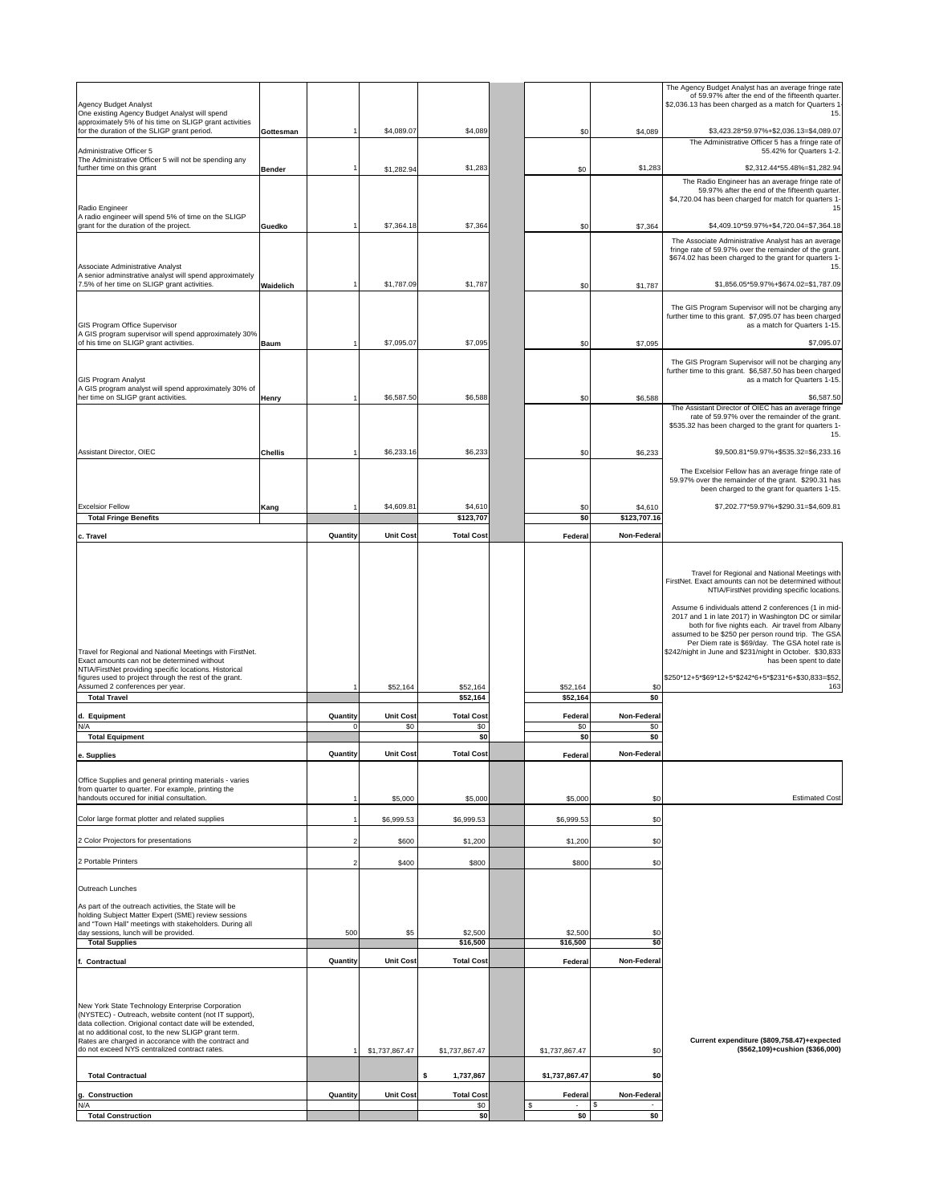| Agency Budget Analyst<br>One existing Agency Budget Analyst will spend                                                                                                                                                                                                                                                                  |                |          |                         |                          |                             |                           | The Agency Budget Analyst has an average fringe rate<br>of 59.97% after the end of the fifteenth quarter.<br>\$2,036.13 has been charged as a match for Quarters 1<br>15.                                                                                                                                                                                                                                                                                                                                                                   |
|-----------------------------------------------------------------------------------------------------------------------------------------------------------------------------------------------------------------------------------------------------------------------------------------------------------------------------------------|----------------|----------|-------------------------|--------------------------|-----------------------------|---------------------------|---------------------------------------------------------------------------------------------------------------------------------------------------------------------------------------------------------------------------------------------------------------------------------------------------------------------------------------------------------------------------------------------------------------------------------------------------------------------------------------------------------------------------------------------|
| approximately 5% of his time on SLIGP grant activities<br>for the duration of the SLIGP grant period.<br>Administrative Officer 5                                                                                                                                                                                                       | Gottesman      |          | \$4,089.07              | \$4,089                  | \$0                         | \$4,089                   | \$3,423.28*59.97%+\$2,036.13=\$4,089.07<br>The Administrative Officer 5 has a fringe rate of                                                                                                                                                                                                                                                                                                                                                                                                                                                |
| The Administrative Officer 5 will not be spending any<br>further time on this grant                                                                                                                                                                                                                                                     | <b>Bender</b>  |          | \$1,282.94              | \$1,283                  | \$0                         | \$1,283                   | 55.42% for Quarters 1-2.<br>\$2,312.44*55.48%=\$1,282.94                                                                                                                                                                                                                                                                                                                                                                                                                                                                                    |
| Radio Engineer                                                                                                                                                                                                                                                                                                                          |                |          |                         |                          |                             |                           | The Radio Engineer has an average fringe rate of<br>59.97% after the end of the fifteenth quarter.<br>\$4,720.04 has been charged for match for quarters 1-<br>15                                                                                                                                                                                                                                                                                                                                                                           |
| A radio engineer will spend 5% of time on the SLIGP<br>grant for the duration of the project.                                                                                                                                                                                                                                           | Guedko         |          | \$7,364.18              | \$7,364                  | \$0                         | \$7,364                   | \$4,409.10*59.97%+\$4,720.04=\$7,364.18                                                                                                                                                                                                                                                                                                                                                                                                                                                                                                     |
| Associate Administrative Analyst                                                                                                                                                                                                                                                                                                        |                |          |                         |                          |                             |                           | The Associate Administrative Analyst has an average<br>fringe rate of 59.97% over the remainder of the grant.<br>\$674.02 has been charged to the grant for quarters 1-<br>15.                                                                                                                                                                                                                                                                                                                                                              |
| A senior adminstrative analyst will spend approximately<br>7.5% of her time on SLIGP grant activities.                                                                                                                                                                                                                                  | Waidelich      |          | \$1,787.09              | \$1,787                  | \$0                         | \$1,787                   | \$1,856.05*59.97%+\$674.02=\$1,787.09<br>The GIS Program Supervisor will not be charging any                                                                                                                                                                                                                                                                                                                                                                                                                                                |
| <b>GIS Program Office Supervisor</b><br>A GIS program supervisor will spend approximately 30%<br>of his time on SLIGP grant activities.                                                                                                                                                                                                 | Baum           |          | \$7,095.07              | \$7,095                  | \$0                         | \$7,095                   | further time to this grant. \$7,095.07 has been charged<br>as a match for Quarters 1-15.<br>\$7,095.07                                                                                                                                                                                                                                                                                                                                                                                                                                      |
|                                                                                                                                                                                                                                                                                                                                         |                |          |                         |                          |                             |                           | The GIS Program Supervisor will not be charging any                                                                                                                                                                                                                                                                                                                                                                                                                                                                                         |
| <b>GIS Program Analyst</b><br>A GIS program analyst will spend approximately 30% of                                                                                                                                                                                                                                                     |                |          |                         |                          |                             |                           | further time to this grant. \$6,587.50 has been charged<br>as a match for Quarters 1-15.                                                                                                                                                                                                                                                                                                                                                                                                                                                    |
| her time on SLIGP grant activities.                                                                                                                                                                                                                                                                                                     | <b>Henry</b>   |          | \$6,587.50              | \$6,588                  | \$0                         | \$6,588                   | \$6,587.50<br>The Assistant Director of OIEC has an average fringe<br>rate of 59.97% over the remainder of the grant.<br>\$535.32 has been charged to the grant for quarters 1-                                                                                                                                                                                                                                                                                                                                                             |
| Assistant Director, OIEC                                                                                                                                                                                                                                                                                                                | <b>Chellis</b> |          | \$6,233.16              | \$6,233                  | \$0                         | \$6,233                   | 15.<br>\$9,500.81*59.97%+\$535.32=\$6,233.16                                                                                                                                                                                                                                                                                                                                                                                                                                                                                                |
|                                                                                                                                                                                                                                                                                                                                         |                |          |                         |                          |                             |                           | The Excelsior Fellow has an average fringe rate of<br>59.97% over the remainder of the grant. \$290.31 has<br>been charged to the grant for quarters 1-15.                                                                                                                                                                                                                                                                                                                                                                                  |
| <b>Excelsior Fellow</b><br><b>Total Fringe Benefits</b>                                                                                                                                                                                                                                                                                 | Kang           |          | \$4,609.81              | \$4,610<br>\$123,707     | \$0<br>\$0                  | \$4,610<br>\$123,707.16   | \$7,202.77*59.97%+\$290.31=\$4,609.81                                                                                                                                                                                                                                                                                                                                                                                                                                                                                                       |
| c. Travel                                                                                                                                                                                                                                                                                                                               |                | Quantity | <b>Unit Cost</b>        | <b>Total Cost</b>        | Federal                     | <b>Non-Federal</b>        |                                                                                                                                                                                                                                                                                                                                                                                                                                                                                                                                             |
| Travel for Regional and National Meetings with FirstNet.<br>Exact amounts can not be determined without<br>NTIA/FirstNet providing specific locations. Historical<br>figures used to project through the rest of the grant.<br>Assumed 2 conferences per year.                                                                          |                |          | \$52,164                | \$52,164                 | \$52,164                    | \$0                       | FirstNet. Exact amounts can not be determined without<br>NTIA/FirstNet providing specific locations.<br>Assume 6 individuals attend 2 conferences (1 in mid-<br>2017 and 1 in late 2017) in Washington DC or similar<br>both for five nights each. Air travel from Albany<br>assumed to be \$250 per person round trip. The GSA<br>Per Diem rate is \$69/day. The GSA hotel rate is<br>\$242/night in June and \$231/night in October. \$30,833<br>has been spent to date<br> \$250*12+5*\$69*12+5*\$242*6+5*\$231*6+\$30,833=\$52, <br>163 |
| <b>Total Travel</b>                                                                                                                                                                                                                                                                                                                     |                |          |                         | \$52,164                 | \$52,164                    | \$0                       |                                                                                                                                                                                                                                                                                                                                                                                                                                                                                                                                             |
| d. Equipment<br>N/A                                                                                                                                                                                                                                                                                                                     |                | Quantity | <b>Unit Cost</b><br>\$0 | <b>Total Cost</b><br>\$0 | Federal<br>\$0              | <b>Non-Federal</b><br>\$0 |                                                                                                                                                                                                                                                                                                                                                                                                                                                                                                                                             |
| <b>Total Equipment</b>                                                                                                                                                                                                                                                                                                                  |                |          |                         | \$0                      | \$0                         | \$0                       |                                                                                                                                                                                                                                                                                                                                                                                                                                                                                                                                             |
| e. Supplies                                                                                                                                                                                                                                                                                                                             |                | Quantity | <b>Unit Cost</b>        | <b>Total Cost</b>        | Federal                     | <b>Non-Federal</b>        |                                                                                                                                                                                                                                                                                                                                                                                                                                                                                                                                             |
| Office Supplies and general printing materials - varies<br>from quarter to quarter. For example, printing the<br>handouts occured for initial consultation.                                                                                                                                                                             |                |          | \$5,000                 | \$5,000                  | \$5,000                     | \$0                       | <b>Estimated Cost</b>                                                                                                                                                                                                                                                                                                                                                                                                                                                                                                                       |
| Color large format plotter and related supplies                                                                                                                                                                                                                                                                                         |                |          | \$6,999.53              | \$6,999.53               | \$6,999.53                  | \$0                       |                                                                                                                                                                                                                                                                                                                                                                                                                                                                                                                                             |
| 2 Color Projectors for presentations                                                                                                                                                                                                                                                                                                    |                |          | \$600                   | \$1,200                  | \$1,200                     | \$0                       |                                                                                                                                                                                                                                                                                                                                                                                                                                                                                                                                             |
| 2 Portable Printers                                                                                                                                                                                                                                                                                                                     |                |          | \$400                   | \$800                    | \$800                       | \$0                       |                                                                                                                                                                                                                                                                                                                                                                                                                                                                                                                                             |
| Outreach Lunches<br>As part of the outreach activities, the State will be<br>holding Subject Matter Expert (SME) review sessions<br>and "Town Hall" meetings with stakeholders. During all                                                                                                                                              |                |          |                         |                          |                             |                           |                                                                                                                                                                                                                                                                                                                                                                                                                                                                                                                                             |
| day sessions, lunch will be provided.<br><b>Total Supplies</b>                                                                                                                                                                                                                                                                          |                | 500      | \$5                     | \$2,500<br>\$16,500      | \$2,500<br>\$16,500         | \$0<br>\$0                |                                                                                                                                                                                                                                                                                                                                                                                                                                                                                                                                             |
| <b>Contractual</b>                                                                                                                                                                                                                                                                                                                      |                | Quantity | <b>Unit Cost</b>        | <b>Total Cost</b>        | Federal                     | Non-Federal               |                                                                                                                                                                                                                                                                                                                                                                                                                                                                                                                                             |
| New York State Technology Enterprise Corporation<br>(NYSTEC) - Outreach, website content (not IT support),<br>data collection. Origional contact date will be extended,<br>at no additional cost, to the new SLIGP grant term.<br>Rates are charged in accorance with the contract and<br>do not exceed NYS centralized contract rates. |                |          | \$1,737,867.47          | \$1,737,867.47           | \$1,737,867.47              | \$0                       | Current expenditure (\$809,758.47)+expected<br>(\$562,109)+cushion (\$366,000)                                                                                                                                                                                                                                                                                                                                                                                                                                                              |
| <b>Total Contractual</b>                                                                                                                                                                                                                                                                                                                |                |          |                         | \$<br>1,737,867          | \$1,737,867.47              | \$0                       |                                                                                                                                                                                                                                                                                                                                                                                                                                                                                                                                             |
| g. Construction                                                                                                                                                                                                                                                                                                                         |                | Quantity | <b>Unit Cost</b>        | <b>Total Cost</b>        | Federal                     | <b>Non-Federal</b>        |                                                                                                                                                                                                                                                                                                                                                                                                                                                                                                                                             |
| N/A<br><b>Total Construction</b>                                                                                                                                                                                                                                                                                                        |                |          |                         | \$0<br> \$0              | \$<br>$\blacksquare$<br>\$0 | \$<br>\$0                 |                                                                                                                                                                                                                                                                                                                                                                                                                                                                                                                                             |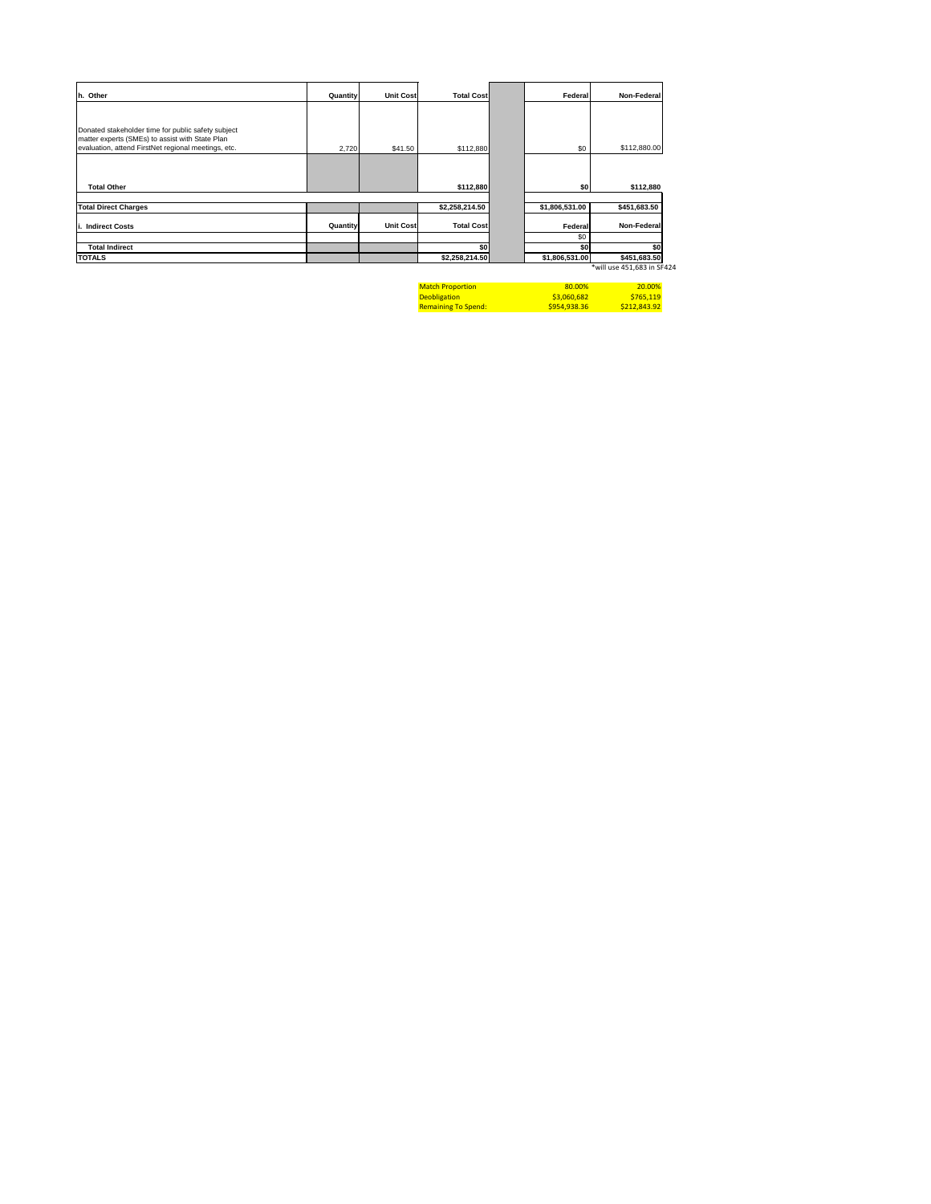| h. Other                                                                                              | <b>Quantity</b> | Unit Cost        | <b>Total Cost</b>           | Federal        | Non-Federal  |
|-------------------------------------------------------------------------------------------------------|-----------------|------------------|-----------------------------|----------------|--------------|
|                                                                                                       |                 |                  |                             |                |              |
| Donated stakeholder time for public safety subject<br>matter experts (SMEs) to assist with State Plan |                 |                  |                             |                |              |
| evaluation, attend FirstNet regional meetings, etc.                                                   | 2,720           | \$41.50          | \$112,880                   | \$0            | \$112,880.00 |
| <b>Total Other</b>                                                                                    |                 |                  | \$112,880                   | \$0            | \$112,880    |
| <b>Total Direct Charges</b>                                                                           |                 |                  | $\overline{\$2,258,214.50}$ | \$1,806,531.00 | \$451,683.50 |
| <b>Indirect Costs</b>                                                                                 | <b>Quantity</b> | <b>Unit Cost</b> | <b>Total Cost</b>           | Federal        | Non-Federal  |
|                                                                                                       |                 |                  |                             | \$0            |              |
| <b>Total Indirect</b>                                                                                 |                 |                  | \$0                         | \$0            | \$0          |
| <b>TOTALS</b>                                                                                         |                 |                  | \$2,258,214.50              | \$1,806,531.00 | \$451,683.50 |

\*will use 451,683 in SF424

| <b>Match Proportion</b>    | 80.00%      | <b>20.00%</b> |
|----------------------------|-------------|---------------|
| <b>Deobligation</b>        | \$3,060,682 | S765.119      |
| <b>Remaining To Spend:</b> | S954.938.36 | S212,843.92   |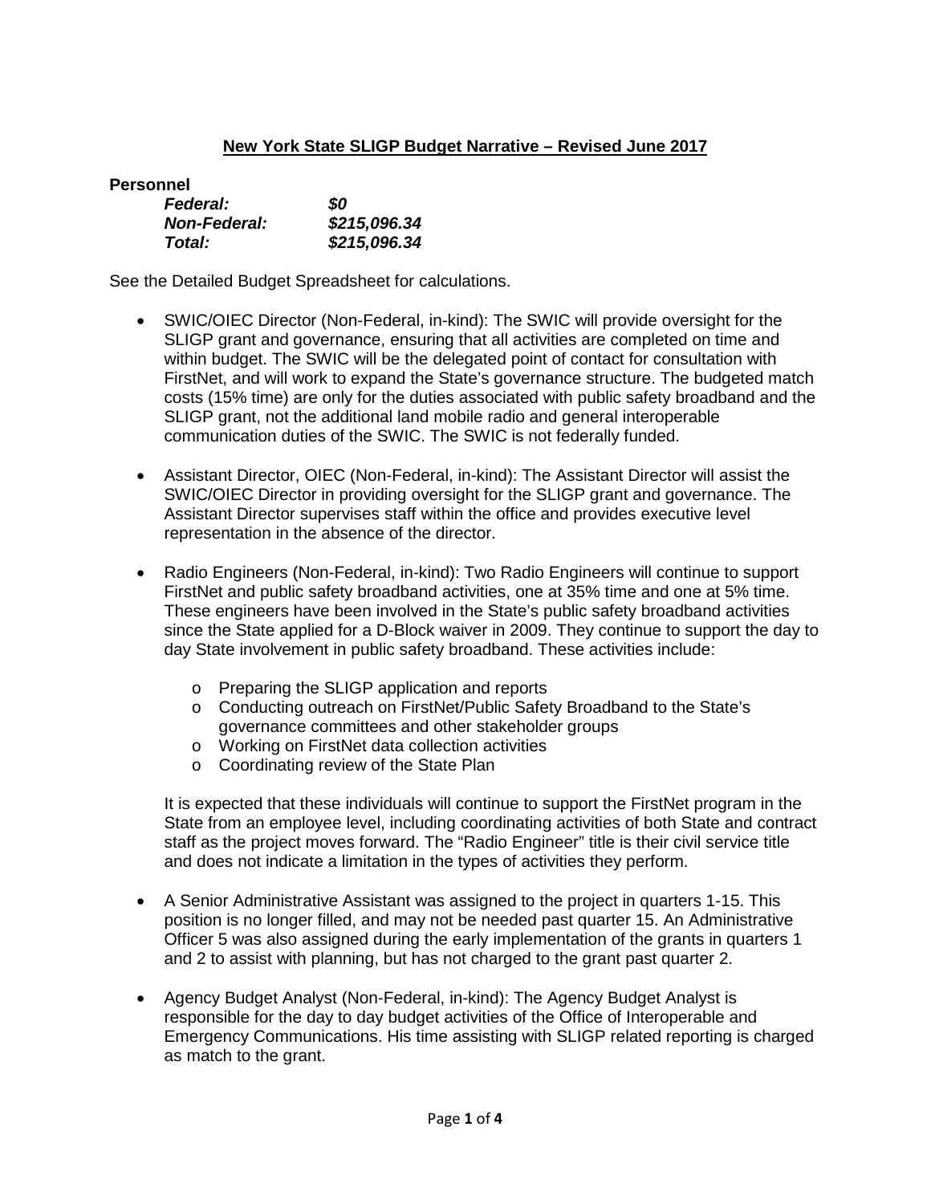# **New York State SLIGP Budget Narrative – Revised June 2017**

**Personnel**

| <b>Federal:</b>     | 80           |
|---------------------|--------------|
| <b>Non-Federal:</b> | \$215,096.34 |
| Total:              | \$215,096.34 |

See the Detailed Budget Spreadsheet for calculations.

- SWIC/OIEC Director (Non-Federal, in-kind): The SWIC will provide oversight for the SLIGP grant and governance, ensuring that all activities are completed on time and within budget. The SWIC will be the delegated point of contact for consultation with FirstNet, and will work to expand the State's governance structure. The budgeted match costs (15% time) are only for the duties associated with public safety broadband and the SLIGP grant, not the additional land mobile radio and general interoperable communication duties of the SWIC. The SWIC is not federally funded.
- Assistant Director, OIEC (Non-Federal, in-kind): The Assistant Director will assist the SWIC/OIEC Director in providing oversight for the SLIGP grant and governance. The Assistant Director supervises staff within the office and provides executive level representation in the absence of the director.
- Radio Engineers (Non-Federal, in-kind): Two Radio Engineers will continue to support FirstNet and public safety broadband activities, one at 35% time and one at 5% time. These engineers have been involved in the State's public safety broadband activities since the State applied for a D-Block waiver in 2009. They continue to support the day to day State involvement in public safety broadband. These activities include:
	- o Preparing the SLIGP application and reports
	- o Conducting outreach on FirstNet/Public Safety Broadband to the State's governance committees and other stakeholder groups
	- o Working on FirstNet data collection activities
	- o Coordinating review of the State Plan

It is expected that these individuals will continue to support the FirstNet program in the State from an employee level, including coordinating activities of both State and contract staff as the project moves forward. The "Radio Engineer" title is their civil service title and does not indicate a limitation in the types of activities they perform.

- A Senior Administrative Assistant was assigned to the project in quarters 1-15. This position is no longer filled, and may not be needed past quarter 15. An Administrative Officer 5 was also assigned during the early implementation of the grants in quarters 1 and 2 to assist with planning, but has not charged to the grant past quarter 2.
- Agency Budget Analyst (Non-Federal, in-kind): The Agency Budget Analyst is responsible for the day to day budget activities of the Office of Interoperable and Emergency Communications. His time assisting with SLIGP related reporting is charged as match to the grant.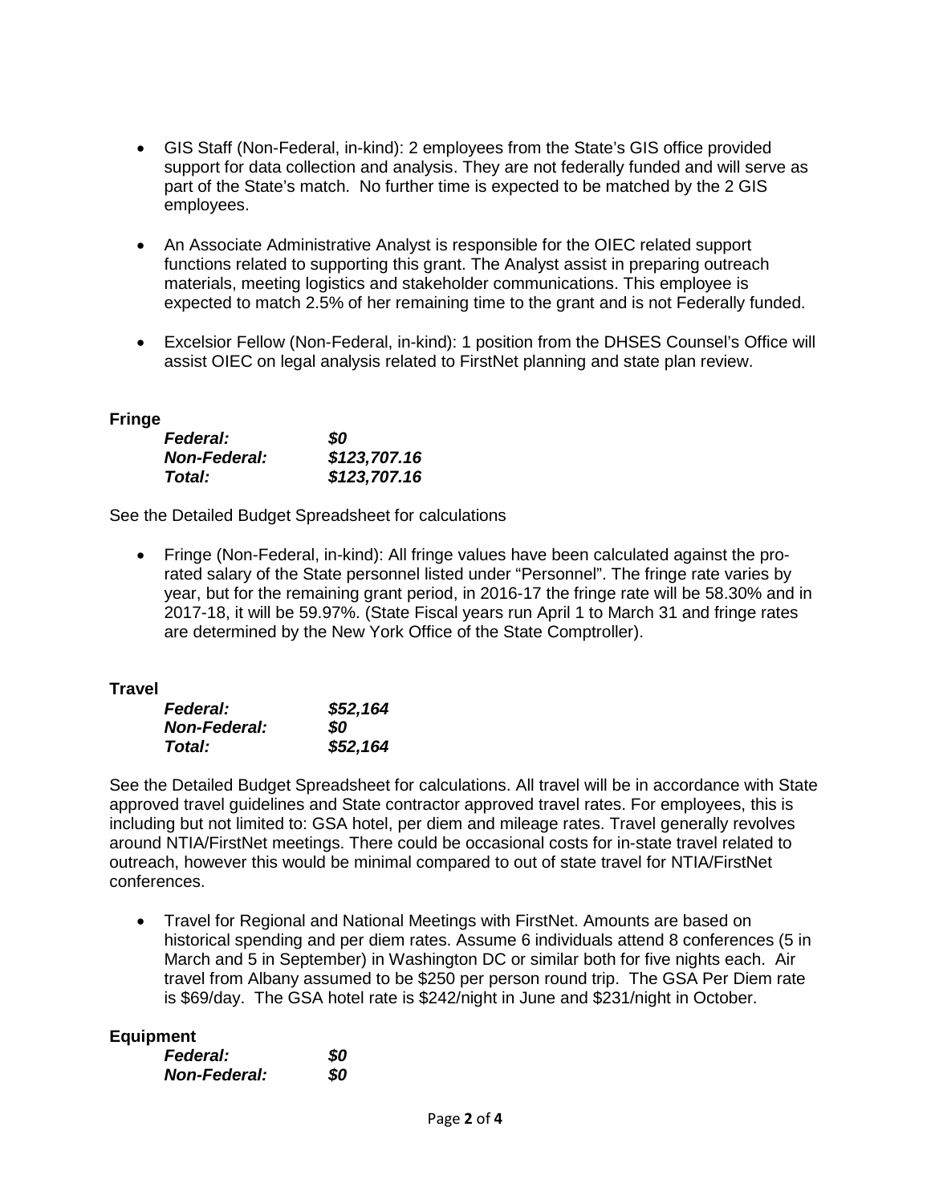- GIS Staff (Non-Federal, in-kind): 2 employees from the State's GIS office provided support for data collection and analysis. They are not federally funded and will serve as part of the State's match. No further time is expected to be matched by the 2 GIS employees.
- An Associate Administrative Analyst is responsible for the OIEC related support functions related to supporting this grant. The Analyst assist in preparing outreach materials, meeting logistics and stakeholder communications. This employee is expected to match 2.5% of her remaining time to the grant and is not Federally funded.
- Excelsior Fellow (Non-Federal, in-kind): 1 position from the DHSES Counsel's Office will assist OIEC on legal analysis related to FirstNet planning and state plan review.

## **Fringe**

| <b>Federal:</b>     | 80           |
|---------------------|--------------|
| <b>Non-Federal:</b> | \$123,707.16 |
| Total:              | \$123,707.16 |

See the Detailed Budget Spreadsheet for calculations

• Fringe (Non-Federal, in-kind): All fringe values have been calculated against the prorated salary of the State personnel listed under "Personnel". The fringe rate varies by year, but for the remaining grant period, in 2016-17 the fringe rate will be 58.30% and in 2017-18, it will be 59.97%. (State Fiscal years run April 1 to March 31 and fringe rates are determined by the New York Office of the State Comptroller).

## **Travel**

| <b>Federal:</b>     | \$52,164 |
|---------------------|----------|
| <b>Non-Federal:</b> | SO.      |
| Total:              | \$52,164 |

See the Detailed Budget Spreadsheet for calculations. All travel will be in accordance with State approved travel guidelines and State contractor approved travel rates. For employees, this is including but not limited to: GSA hotel, per diem and mileage rates. Travel generally revolves around NTIA/FirstNet meetings. There could be occasional costs for in-state travel related to outreach, however this would be minimal compared to out of state travel for NTIA/FirstNet conferences.

• Travel for Regional and National Meetings with FirstNet. Amounts are based on historical spending and per diem rates. Assume 6 individuals attend 8 conferences (5 in March and 5 in September) in Washington DC or similar both for five nights each. Air travel from Albany assumed to be \$250 per person round trip. The GSA Per Diem rate is \$69/day. The GSA hotel rate is \$242/night in June and \$231/night in October.

## **Equipment**

| <b>Federal:</b>     | 80  |
|---------------------|-----|
| <b>Non-Federal:</b> | \$0 |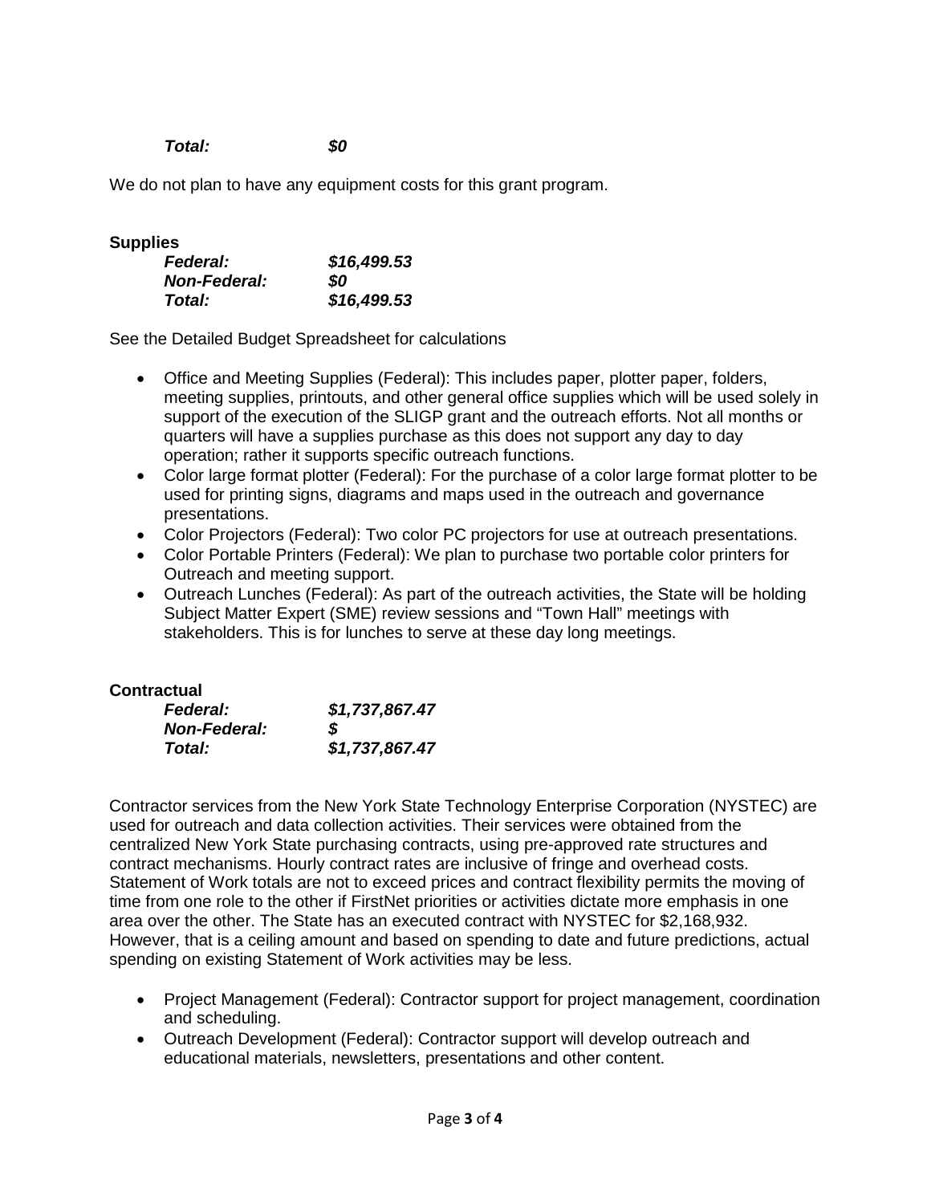*Total: \$0*

We do not plan to have any equipment costs for this grant program.

## **Supplies**

| <b>Federal:</b>     | \$16,499.53 |
|---------------------|-------------|
| <b>Non-Federal:</b> | SO.         |
| Total:              | \$16,499.53 |

See the Detailed Budget Spreadsheet for calculations

- Office and Meeting Supplies (Federal): This includes paper, plotter paper, folders, meeting supplies, printouts, and other general office supplies which will be used solely in support of the execution of the SLIGP grant and the outreach efforts. Not all months or quarters will have a supplies purchase as this does not support any day to day operation; rather it supports specific outreach functions.
- Color large format plotter (Federal): For the purchase of a color large format plotter to be used for printing signs, diagrams and maps used in the outreach and governance presentations.
- Color Projectors (Federal): Two color PC projectors for use at outreach presentations.
- Color Portable Printers (Federal): We plan to purchase two portable color printers for Outreach and meeting support.
- Outreach Lunches (Federal): As part of the outreach activities, the State will be holding Subject Matter Expert (SME) review sessions and "Town Hall" meetings with stakeholders. This is for lunches to serve at these day long meetings.

## **Contractual**

| <b>Federal:</b>     | \$1,737,867.47 |
|---------------------|----------------|
| <b>Non-Federal:</b> | S              |
| Total:              | \$1,737,867.47 |

Contractor services from the New York State Technology Enterprise Corporation (NYSTEC) are used for outreach and data collection activities. Their services were obtained from the centralized New York State purchasing contracts, using pre-approved rate structures and contract mechanisms. Hourly contract rates are inclusive of fringe and overhead costs. Statement of Work totals are not to exceed prices and contract flexibility permits the moving of time from one role to the other if FirstNet priorities or activities dictate more emphasis in one area over the other. The State has an executed contract with NYSTEC for \$2,168,932. However, that is a ceiling amount and based on spending to date and future predictions, actual spending on existing Statement of Work activities may be less.

- Project Management (Federal): Contractor support for project management, coordination and scheduling.
- Outreach Development (Federal): Contractor support will develop outreach and educational materials, newsletters, presentations and other content.